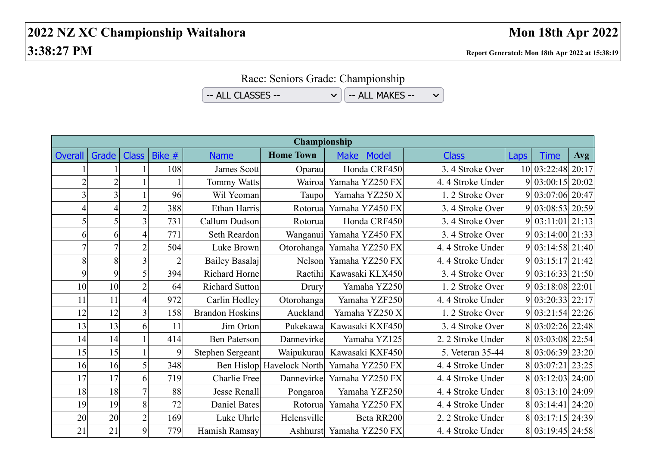Race: Seniors Grade: Championship

 $-$  ALL CLASSES  $\vee$   $\Big|$   $-$  ALL MAKES  $-$ 

 $\checkmark$ 

| Championship   |                |                |                |                        |                           |                             |                   |             |                   |            |
|----------------|----------------|----------------|----------------|------------------------|---------------------------|-----------------------------|-------------------|-------------|-------------------|------------|
| <b>Overall</b> | Grade          | <b>Class</b>   | Bike $#$       | <b>Name</b>            | <b>Home Town</b>          | <b>Model</b><br><b>Make</b> | <b>Class</b>      | <b>Laps</b> | <b>Time</b>       | <b>Avg</b> |
|                |                |                | 108            | James Scott            | Oparau                    | Honda CRF450                | 3.4 Stroke Over   |             | 10 03:22:48 20:17 |            |
|                | $\overline{2}$ |                |                | <b>Tommy Watts</b>     | Wairoa                    | Yamaha YZ250 FX             | 4.4 Stroke Under  |             | 9 03:00:15 20:02  |            |
|                | $\overline{3}$ |                | 96             | Wil Yeoman             | Taupo                     | Yamaha YZ250 X              | 1.2 Stroke Over   |             | 9 03:07:06 20:47  |            |
|                | 4              | $\overline{2}$ | 388            | Ethan Harris           | Rotorual                  | Yamaha YZ450 FX             | 3.4 Stroke Over   |             | 9 03:08:53 20:59  |            |
| $\mathsf{S}$   | 5              | 3              | 731            | Callum Dudson          | Rotorua                   | Honda CRF450                | 3.4 Stroke Over   |             | 9 03:11:01 21:13  |            |
| 6              | 6              | 4              | 771            | <b>Seth Reardon</b>    | Wanganui                  | Yamaha YZ450 FX             | 3.4 Stroke Over   |             | $03:14:00$ 21:33  |            |
| $\overline{7}$ | $\tau$         | $\overline{2}$ | 504            | Luke Brown             | Otorohanga                | Yamaha YZ250 FX             | 4.4 Stroke Under  |             | 9 03:14:58 21:40  |            |
| 8              | 8              | $\overline{3}$ | $\overline{2}$ | Bailey Basalaj         | Nelson                    | Yamaha YZ250 FX             | 4.4 Stroke Under  |             | 9 03:15:17 21:42  |            |
| $\overline{9}$ | 9              | 5              | 394            | Richard Horne          | Raetihi                   | Kawasaki KLX450             | 3.4 Stroke Over   |             | 9 03:16:33 21:50  |            |
| 10             | 10             | $\overline{2}$ | 64             | <b>Richard Sutton</b>  | Drury                     | Yamaha YZ250                | 1.2 Stroke Over   |             | 9 03:18:08 22:01  |            |
| 11             | 11             | 4              | 972            | Carlin Hedley          | Otorohanga                | Yamaha YZF250               | 4.4 Stroke Under  |             | 9 03:20:33 22:17  |            |
| 12             | 12             | 3              | 158            | <b>Brandon Hoskins</b> | Auckland                  | Yamaha YZ250 X              | 1.2 Stroke Over   |             | 9 03:21:54 22:26  |            |
| 13             | 13             | 6              | 11             | Jim Orton              | Pukekawa                  | Kawasaki KXF450             | 3.4 Stroke Over   |             | 8 03:02:26 22:48  |            |
| 14             | 14             |                | 414            | Ben Paterson           | Dannevirke                | Yamaha YZ125                | 2. 2 Stroke Under |             | 8 03:03:08 22:54  |            |
| 15             | 15             |                | 9              | Stephen Sergeant       | Waipukurau                | Kawasaki KXF450             | 5. Veteran 35-44  |             | 8 03:06:39 23:20  |            |
| 16             | 16             | 5              | 348            |                        | Ben Hislop Havelock North | Yamaha YZ250 FX             | 4.4 Stroke Under  |             | 8 03:07:21 23:25  |            |
| 17             | 17             | 6              | 719            | Charlie Free           | Dannevirke                | Yamaha YZ250 FX             | 4.4 Stroke Under  |             | 8 03:12:03 24:00  |            |
| 18             | 18             | $\overline{7}$ | 88             | Jesse Renall           | Pongaroa                  | Yamaha YZF250               | 4.4 Stroke Under  |             | 8 03:13:10 24:09  |            |
| 19             | 19             | 8              | 72             | <b>Daniel Bates</b>    | Rotorual                  | Yamaha YZ250 FX             | 4.4 Stroke Under  |             | $03:14:41$ 24:20  |            |
| 20             | 20             | $\overline{c}$ | 169            | Luke Uhrle             | Helensville               | Beta RR200                  | 2. 2 Stroke Under |             | $03:17:15$ 24:39  |            |
| 21             | 21             | 9              | 779            | Hamish Ramsay          |                           | Ashhurst Yamaha YZ250 FX    | 4.4 Stroke Under  |             | 8 03:19:45 24:58  |            |